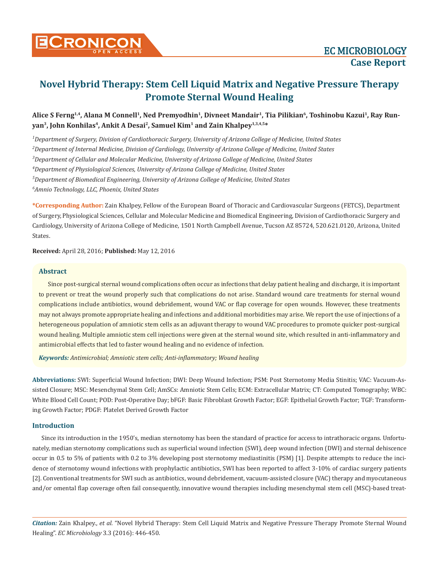

## Alice S Ferng<sup>1,4</sup>, Alana M Connell<sup>1</sup>, Ned Premvodhin<sup>1</sup>, Divneet Mandair<sup>1</sup>, Tia Pilikian<sup>6</sup>, Toshinobu Kazui<sup>1</sup>, Ray Run**yan3, John Konhilas4, Ankit A Desai2, Samuel Kim1 and Zain Khalpey1,3,4,5\***

 *Department of Surgery, Division of Cardiothoracic Surgery, University of Arizona College of Medicine, United States Department of Internal Medicine, Division of Cardiology, University of Arizona College of Medicine, United States Department of Cellular and Molecular Medicine, University of Arizona College of Medicine, United States Department of Physiological Sciences, University of Arizona College of Medicine, United States Department of Biomedical Engineering, University of Arizona College of Medicine, United States Amnio Technology, LLC, Phoenix, United States*

**\*Corresponding Author:** Zain Khalpey, Fellow of the European Board of Thoracic and Cardiovascular Surgeons (FETCS), Department of Surgery, Physiological Sciences, Cellular and Molecular Medicine and Biomedical Engineering, Division of Cardiothoracic Surgery and Cardiology, University of Arizona College of Medicine, 1501 North Campbell Avenue, Tucson AZ 85724, 520.621.0120, Arizona, United States.

**Received:** April 28, 2016; **Published:** May 12, 2016

### **Abstract**

Since post-surgical sternal wound complications often occur as infections that delay patient healing and discharge, it is important to prevent or treat the wound properly such that complications do not arise. Standard wound care treatments for sternal wound complications include antibiotics, wound debridement, wound VAC or flap coverage for open wounds. However, these treatments may not always promote appropriate healing and infections and additional morbidities may arise. We report the use of injections of a heterogeneous population of amniotic stem cells as an adjuvant therapy to wound VAC procedures to promote quicker post-surgical wound healing. Multiple amniotic stem cell injections were given at the sternal wound site, which resulted in anti-inflammatory and antimicrobial effects that led to faster wound healing and no evidence of infection.

*Keywords: Antimicrobial; Amniotic stem cells; Anti-inflammatory; Wound healing*

**Abbreviations:** SWI: Superficial Wound Infection; DWI: Deep Wound Infection; PSM: Post Sternotomy Media Stinitis; VAC: Vacuum-Assisted Closure; MSC: Mesenchymal Stem Cell; AmSCs: Amniotic Stem Cells; ECM: Extracellular Matrix; CT: Computed Tomography; WBC: White Blood Cell Count; POD: Post-Operative Day; bFGF: Basic Fibroblast Growth Factor; EGF: Epithelial Growth Factor; TGF: Transforming Growth Factor; PDGF: Platelet Derived Growth Factor

## **Introduction**

Since its introduction in the 1950's, median sternotomy has been the standard of practice for access to intrathoracic organs. Unfortunately, median sternotomy complications such as superficial wound infection (SWI), deep wound infection (DWI) and sternal dehiscence occur in 0.5 to 5% of patients with 0.2 to 3% developing post sternotomy mediastinitis (PSM) [1]. Despite attempts to reduce the incidence of sternotomy wound infections with prophylactic antibiotics, SWI has been reported to affect 3-10% of cardiac surgery patients [2]. Conventional treatments for SWI such as antibiotics, wound debridement, vacuum-assisted closure (VAC) therapy and myocutaneous and/or omental flap coverage often fail consequently, innovative wound therapies including mesenchymal stem cell (MSC)-based treat-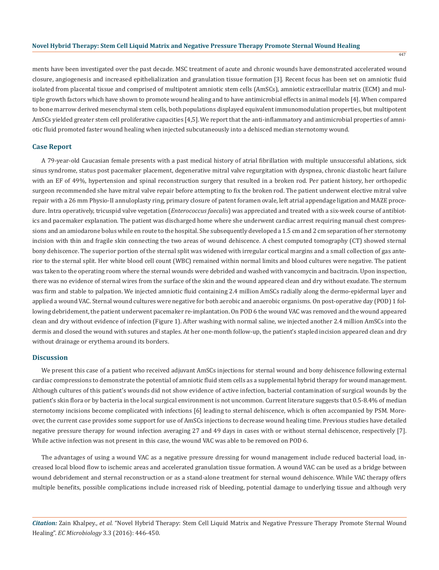ments have been investigated over the past decade. MSC treatment of acute and chronic wounds have demonstrated accelerated wound closure, angiogenesis and increased epithelialization and granulation tissue formation [3]. Recent focus has been set on amniotic fluid isolated from placental tissue and comprised of multipotent amniotic stem cells (AmSCs), amniotic extracellular matrix (ECM) and multiple growth factors which have shown to promote wound healing and to have antimicrobial effects in animal models [4]. When compared to bone marrow derived mesenchymal stem cells, both populations displayed equivalent immunomodulation properties, but multipotent AmSCs yielded greater stem cell proliferative capacities [4,5]. We report that the anti-inflammatory and antimicrobial properties of amniotic fluid promoted faster wound healing when injected subcutaneously into a dehisced median sternotomy wound.

#### **Case Report**

A 79-year-old Caucasian female presents with a past medical history of atrial fibrillation with multiple unsuccessful ablations, sick sinus syndrome, status post pacemaker placement, degenerative mitral valve regurgitation with dyspnea, chronic diastolic heart failure with an EF of 49%, hypertension and spinal reconstruction surgery that resulted in a broken rod. Per patient history, her orthopedic surgeon recommended she have mitral valve repair before attempting to fix the broken rod. The patient underwent elective mitral valve repair with a 26 mm Physio-II annuloplasty ring, primary closure of patent foramen ovale, left atrial appendage ligation and MAZE procedure. Intra operatively, tricuspid valve vegetation (*Enterococcus faecalis*) was appreciated and treated with a six-week course of antibiotics and pacemaker explanation. The patient was discharged home where she underwent cardiac arrest requiring manual chest compressions and an amiodarone bolus while en route to the hospital. She subsequently developed a 1.5 cm and 2 cm separation of her sternotomy incision with thin and fragile skin connecting the two areas of wound dehiscence. A chest computed tomography (CT) showed sternal bony dehiscence. The superior portion of the sternal split was widened with irregular cortical margins and a small collection of gas anterior to the sternal split. Her white blood cell count (WBC) remained within normal limits and blood cultures were negative. The patient was taken to the operating room where the sternal wounds were debrided and washed with vancomycin and bacitracin. Upon inspection, there was no evidence of sternal wires from the surface of the skin and the wound appeared clean and dry without exudate. The sternum was firm and stable to palpation. We injected amniotic fluid containing 2.4 million AmSCs radially along the dermo-epidermal layer and applied a wound VAC. Sternal wound cultures were negative for both aerobic and anaerobic organisms. On post-operative day (POD) 1 following debridement, the patient underwent pacemaker re-implantation. On POD 6 the wound VAC was removed and the wound appeared clean and dry without evidence of infection (Figure 1). After washing with normal saline, we injected another 2.4 million AmSCs into the dermis and closed the wound with sutures and staples. At her one-month follow-up, the patient's stapled incision appeared clean and dry without drainage or erythema around its borders.

## **Discussion**

We present this case of a patient who received adjuvant AmSCs injections for sternal wound and bony dehiscence following external cardiac compressions to demonstrate the potential of amniotic fluid stem cells as a supplemental hybrid therapy for wound management. Although cultures of this patient's wounds did not show evidence of active infection, bacterial contamination of surgical wounds by the patient's skin flora or by bacteria in the local surgical environment is not uncommon. Current literature suggests that 0.5-8.4% of median sternotomy incisions become complicated with infections [6] leading to sternal dehiscence, which is often accompanied by PSM. Moreover, the current case provides some support for use of AmSCs injections to decrease wound healing time. Previous studies have detailed negative pressure therapy for wound infection averaging 27 and 49 days in cases with or without sternal dehiscence, respectively [7]. While active infection was not present in this case, the wound VAC was able to be removed on POD 6.

The advantages of using a wound VAC as a negative pressure dressing for wound management include reduced bacterial load, increased local blood flow to ischemic areas and accelerated granulation tissue formation. A wound VAC can be used as a bridge between wound debridement and sternal reconstruction or as a stand-alone treatment for sternal wound dehiscence. While VAC therapy offers multiple benefits, possible complications include increased risk of bleeding, potential damage to underlying tissue and although very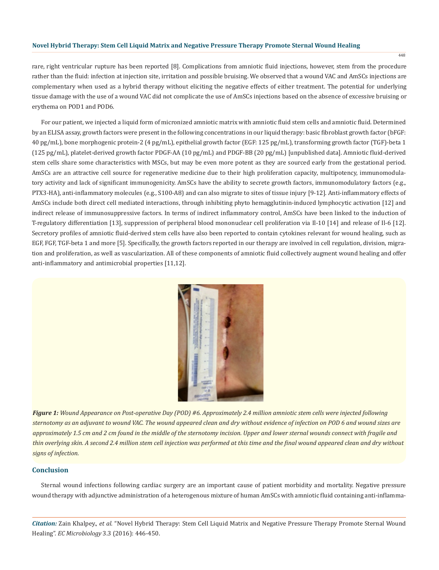rare, right ventricular rupture has been reported [8]. Complications from amniotic fluid injections, however, stem from the procedure rather than the fluid: infection at injection site, irritation and possible bruising. We observed that a wound VAC and AmSCs injections are complementary when used as a hybrid therapy without eliciting the negative effects of either treatment. The potential for underlying tissue damage with the use of a wound VAC did not complicate the use of AmSCs injections based on the absence of excessive bruising or erythema on POD1 and POD6.

For our patient, we injected a liquid form of micronized amniotic matrix with amniotic fluid stem cells and amniotic fluid. Determined by an ELISA assay, growth factors were present in the following concentrations in our liquid therapy: basic fibroblast growth factor (bFGF: 40 pg/mL), bone morphogenic protein-2 (4 pg/mL), epithelial growth factor (EGF: 125 pg/mL), transforming growth factor (TGF)-beta 1 (125 pg/mL), platelet-derived growth factor PDGF-AA (10 pg/mL) and PDGF-BB (20 pg/mL) [unpublished data]. Amniotic fluid-derived stem cells share some characteristics with MSCs, but may be even more potent as they are sourced early from the gestational period. AmSCs are an attractive cell source for regenerative medicine due to their high proliferation capacity, multipotency, immunomodulatory activity and lack of significant immunogenicity. AmSCs have the ability to secrete growth factors, immunomodulatory factors (e.g., PTX3-HA), anti-inflammatory molecules (e.g., S100-A8) and can also migrate to sites of tissue injury [9-12]. Anti-inflammatory effects of AmSCs include both direct cell mediated interactions, through inhibiting phyto hemagglutinin-induced lymphocytic activation [12] and indirect release of immunosuppressive factors. In terms of indirect inflammatory control, AmSCs have been linked to the induction of T-regulatory differentiation [13], suppression of peripheral blood mononuclear cell proliferation via Il-10 [14] and release of Il-6 [12]. Secretory profiles of amniotic fluid-derived stem cells have also been reported to contain cytokines relevant for wound healing, such as EGF, FGF, TGF-beta 1 and more [5]. Specifically, the growth factors reported in our therapy are involved in cell regulation, division, migration and proliferation, as well as vascularization. All of these components of amniotic fluid collectively augment wound healing and offer anti-inflammatory and antimicrobial properties [11,12].



*Figure 1: Wound Appearance on Post-operative Day (POD) #6. Approximately 2.4 million amniotic stem cells were injected following sternotomy as an adjuvant to wound VAC. The wound appeared clean and dry without evidence of infection on POD 6 and wound sizes are approximately 1.5 cm and 2 cm found in the middle of the sternotomy incision. Upper and lower sternal wounds connect with fragile and thin overlying skin. A second 2.4 million stem cell injection was performed at this time and the final wound appeared clean and dry without signs of infection.*

## **Conclusion**

Sternal wound infections following cardiac surgery are an important cause of patient morbidity and mortality. Negative pressure wound therapy with adjunctive administration of a heterogenous mixture of human AmSCs with amniotic fluid containing anti-inflamma-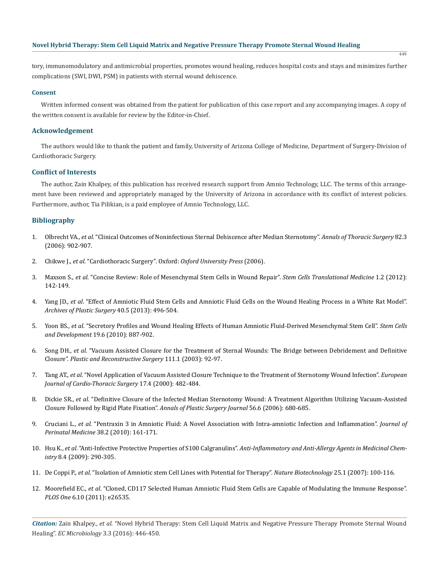tory, immunomodulatory and antimicrobial properties, promotes wound healing, reduces hospital costs and stays and minimizes further complications (SWI, DWI, PSM) in patients with sternal wound dehiscence.

449

#### **Consent**

Written informed consent was obtained from the patient for publication of this case report and any accompanying images. A copy of the written consent is available for review by the Editor-in-Chief.

#### **Acknowledgement**

The authors would like to thank the patient and family, University of Arizona College of Medicine, Department of Surgery-Division of Cardiothoracic Surgery.

## **Conflict of Interests**

The author, Zain Khalpey, of this publication has received research support from Amnio Technology, LLC. The terms of this arrangement have been reviewed and appropriately managed by the University of Arizona in accordance with its conflict of interest policies. Furthermore, author, Tia Pilikian, is a paid employee of Amnio Technology, LLC.

## **Bibliography**

- 1. Olbrecht VA., *et al*. "Clinical Outcomes of Noninfectious Sternal Dehiscence after Median Sternotomy". *Annals of Thoracic Surgery* 82.3 (2006): 902-907.
- 2. Chikwe J., *et al*. "Cardiothoracic Surgery"*.* Oxford: *Oxford University Press* (2006).
- 3. Maxson S., *et al*. "Concise Review: Role of Mesenchymal Stem Cells in Wound Repair". *Stem Cells Translational Medicine* 1.2 (2012): 142-149.
- 4. Yang JD., *et al*. "Effect of Amniotic Fluid Stem Cells and Amniotic Fluid Cells on the Wound Healing Process in a White Rat Model". *Archives of Plastic Surgery* 40.5 (2013): 496-504.
- 5. Yoon BS., *et al*. "Secretory Profiles and Wound Healing Effects of Human Amniotic Fluid-Derived Mesenchymal Stem Cell". *Stem Cells and Development* 19.6 (2010): 887-902.
- 6. Song DH., *et al*. "Vacuum Assisted Closure for the Treatment of Sternal Wounds: The Bridge between Debridement and Definitive Closure". *Plastic and Reconstructive Surgery* 111.1 (2003): 92-97.
- 7. Tang AT., *et al*. "Novel Application of Vacuum Assisted Closure Technique to the Treatment of Sternotomy Wound Infection". *European Journal of Cardio-Thoracic Surgery* 17.4 (2000): 482-484.
- 8. Dickie SR., *et al*. "Definitive Closure of the Infected Median Sternotomy Wound: A Treatment Algorithm Utilizing Vacuum-Assisted Closure Followed by Rigid Plate Fixation". *Annals of Plastic Surgery Journal* 56.6 (2006): 680-685.
- 9. Cruciani L., *et al*. "Pentraxin 3 in Amniotic Fluid: A Novel Association with Intra-amniotic Infection and Inflammation". *Journal of Perinatal Medicine* 38.2 (2010): 161-171.
- 10. Hsu K., *et al*. "Anti-Infective Protective Properties of S100 Calgranulins". *Anti-Inflammatory and Anti-Allergy Agents in Medicinal Chemistry* 8.4 (2009): 290-305.
- 11. De Coppi P., *et al*. "Isolation of Amniotic stem Cell Lines with Potential for Therapy". *Nature Biotechnology* 25.1 (2007): 100-116.
- 12. Moorefield EC., *et al*. "Cloned, CD117 Selected Human Amniotic Fluid Stem Cells are Capable of Modulating the Immune Response". *PLOS One* 6.10 (2011): e26535.